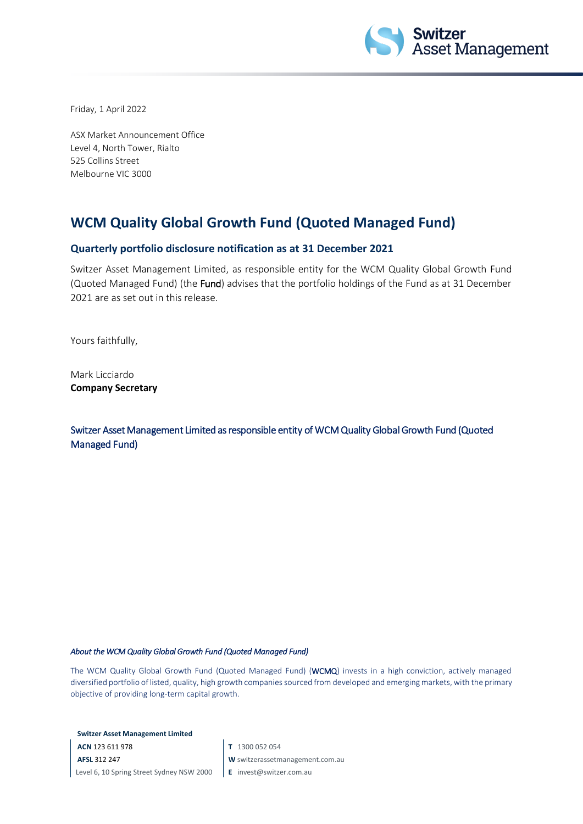

Friday, 1 April 2022

ASX Market Announcement Office Level 4, North Tower, Rialto 525 Collins Street Melbourne VIC 3000

## **WCM Quality Global Growth Fund (Quoted Managed Fund)**

## **Quarterly portfolio disclosure notification as at 31 December 2021**

Switzer Asset Management Limited, as responsible entity for the WCM Quality Global Growth Fund (Quoted Managed Fund) (the Fund) advises that the portfolio holdings of the Fund as at 31 December 2021 are as set out in this release.

Yours faithfully,

Mark Licciardo **Company Secretary**

Switzer Asset Management Limited as responsible entity of WCM Quality Global Growth Fund (Quoted Managed Fund)

## *About the WCM Quality Global Growth Fund (Quoted Managed Fund)*

The WCM Quality Global Growth Fund (Quoted Managed Fund) (WCMQ) invests in a high conviction, actively managed diversified portfolio of listed, quality, high growth companies sourced from developed and emerging markets, with the primary objective of providing long-term capital growth.

**Switzer Asset Management Limited**

**ACN** 123 611 978 **AFSL** 312 247 Level 6, 10 Spring Street Sydney NSW 2000 **T** 1300 052 054

**W** switzerassetmanagement.com.au

**E** invest@switzer.com.au